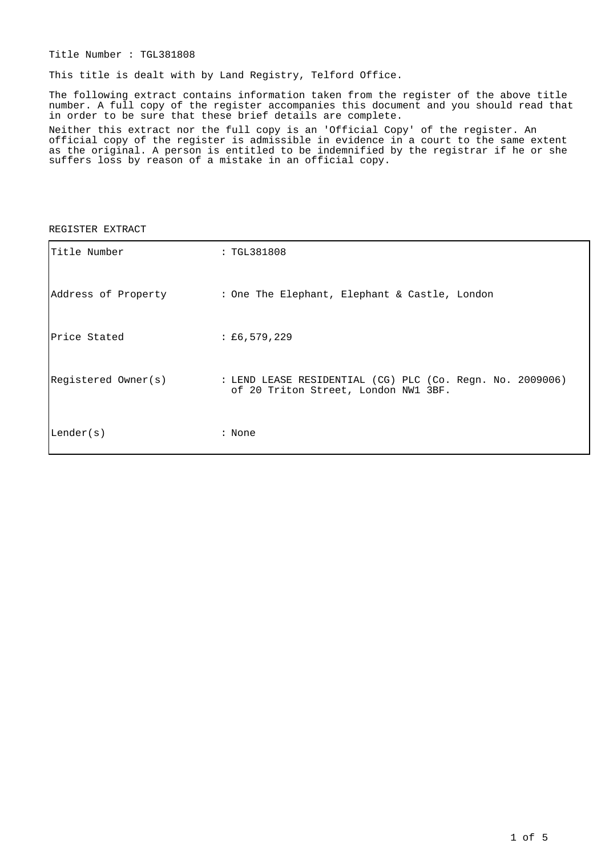Title Number : TGL381808

This title is dealt with by Land Registry, Telford Office.

The following extract contains information taken from the register of the above title number. A full copy of the register accompanies this document and you should read that in order to be sure that these brief details are complete.

Neither this extract nor the full copy is an 'Official Copy' of the register. An official copy of the register is admissible in evidence in a court to the same extent as the original. A person is entitled to be indemnified by the registrar if he or she suffers loss by reason of a mistake in an official copy.

#### REGISTER EXTRACT

| Title Number        | : TGL381808                                                                                       |
|---------------------|---------------------------------------------------------------------------------------------------|
| Address of Property | : One The Elephant, Elephant & Castle, London                                                     |
| Price Stated        | $\pm 6,579,229$                                                                                   |
| Registered Owner(s) | : LEND LEASE RESIDENTIAL (CG) PLC (Co. Regn. No. 2009006)<br>of 20 Triton Street, London NW1 3BF. |
| Lender(s)           | : None                                                                                            |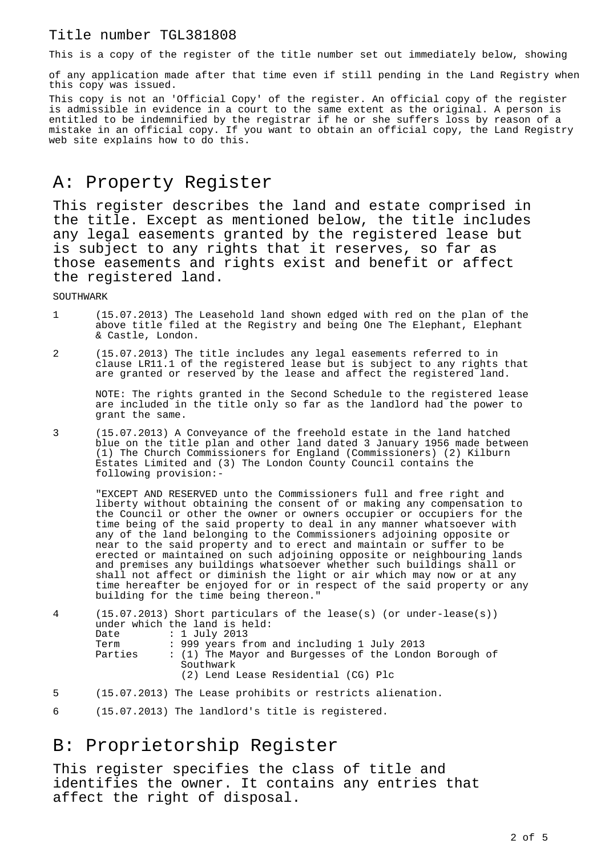#### Title number TGL381808

This is a copy of the register of the title number set out immediately below, showing

of any application made after that time even if still pending in the Land Registry when this copy was issued.

This copy is not an 'Official Copy' of the register. An official copy of the register is admissible in evidence in a court to the same extent as the original. A person is entitled to be indemnified by the registrar if he or she suffers loss by reason of a mistake in an official copy. If you want to obtain an official copy, the Land Registry web site explains how to do this.

## A: Property Register

This register describes the land and estate comprised in the title. Except as mentioned below, the title includes any legal easements granted by the registered lease but is subject to any rights that it reserves, so far as those easements and rights exist and benefit or affect the registered land.

SOUTHWARK

- 1 (15.07.2013) The Leasehold land shown edged with red on the plan of the above title filed at the Registry and being One The Elephant, Elephant & Castle, London.
- 2 (15.07.2013) The title includes any legal easements referred to in clause LR11.1 of the registered lease but is subject to any rights that are granted or reserved by the lease and affect the registered land.

NOTE: The rights granted in the Second Schedule to the registered lease are included in the title only so far as the landlord had the power to grant the same.

3 (15.07.2013) A Conveyance of the freehold estate in the land hatched blue on the title plan and other land dated 3 January 1956 made between (1) The Church Commissioners for England (Commissioners) (2) Kilburn Estates Limited and (3) The London County Council contains the following provision:-

"EXCEPT AND RESERVED unto the Commissioners full and free right and liberty without obtaining the consent of or making any compensation to the Council or other the owner or owners occupier or occupiers for the time being of the said property to deal in any manner whatsoever with any of the land belonging to the Commissioners adjoining opposite or near to the said property and to erect and maintain or suffer to be erected or maintained on such adjoining opposite or neighbouring lands and premises any buildings whatsoever whether such buildings shall or shall not affect or diminish the light or air which may now or at any time hereafter be enjoyed for or in respect of the said property or any building for the time being thereon."

| 4 | Date    | $(15.07.2013)$ Short particulars of the lease(s) (or under-lease(s))<br>under which the land is held:<br>: 1 July 2013 |
|---|---------|------------------------------------------------------------------------------------------------------------------------|
|   | Term    | : 999 years from and including 1 July 2013                                                                             |
|   | Parties | : (1) The Mayor and Burgesses of the London Borough of<br>Southwark                                                    |
|   |         | (2) Lend Lease Residential (CG) Plc                                                                                    |
| 5 |         | (15.07.2013) The Lease prohibits or restricts alienation.                                                              |

6 (15.07.2013) The landlord's title is registered.

## B: Proprietorship Register

This register specifies the class of title and identifies the owner. It contains any entries that affect the right of disposal.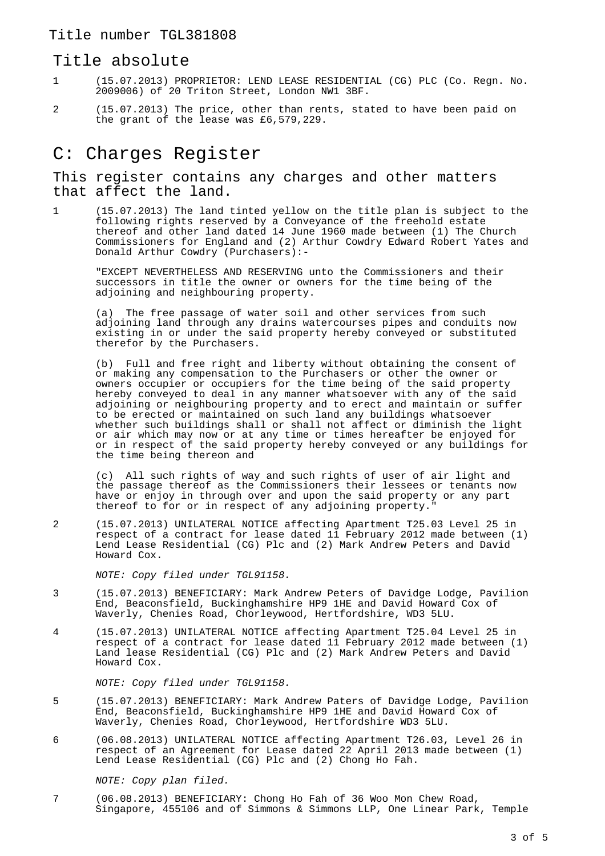#### Title absolute

- 1 (15.07.2013) PROPRIETOR: LEND LEASE RESIDENTIAL (CG) PLC (Co. Regn. No. 2009006) of 20 Triton Street, London NW1 3BF.
- 2 (15.07.2013) The price, other than rents, stated to have been paid on the grant of the lease was £6,579,229.

# C: Charges Register

This register contains any charges and other matters that affect the land.

1 (15.07.2013) The land tinted yellow on the title plan is subject to the following rights reserved by a Conveyance of the freehold estate thereof and other land dated 14 June 1960 made between (1) The Church Commissioners for England and (2) Arthur Cowdry Edward Robert Yates and Donald Arthur Cowdry (Purchasers):-

"EXCEPT NEVERTHELESS AND RESERVING unto the Commissioners and their successors in title the owner or owners for the time being of the adjoining and neighbouring property.

(a) The free passage of water soil and other services from such adjoining land through any drains watercourses pipes and conduits now existing in or under the said property hereby conveyed or substituted therefor by the Purchasers.

(b) Full and free right and liberty without obtaining the consent of or making any compensation to the Purchasers or other the owner or owners occupier or occupiers for the time being of the said property hereby conveyed to deal in any manner whatsoever with any of the said adjoining or neighbouring property and to erect and maintain or suffer to be erected or maintained on such land any buildings whatsoever whether such buildings shall or shall not affect or diminish the light or air which may now or at any time or times hereafter be enjoyed for or in respect of the said property hereby conveyed or any buildings for the time being thereon and

(c) All such rights of way and such rights of user of air light and the passage thereof as the Commissioners their lessees or tenants now have or enjoy in through over and upon the said property or any part thereof to for or in respect of any adjoining property."

2 (15.07.2013) UNILATERAL NOTICE affecting Apartment T25.03 Level 25 in respect of a contract for lease dated 11 February 2012 made between (1) Lend Lease Residential (CG) Plc and (2) Mark Andrew Peters and David Howard Cox.

NOTE: Copy filed under TGL91158.

- 3 (15.07.2013) BENEFICIARY: Mark Andrew Peters of Davidge Lodge, Pavilion End, Beaconsfield, Buckinghamshire HP9 1HE and David Howard Cox of Waverly, Chenies Road, Chorleywood, Hertfordshire, WD3 5LU.
- 4 (15.07.2013) UNILATERAL NOTICE affecting Apartment T25.04 Level 25 in respect of a contract for lease dated 11 February 2012 made between (1) Land lease Residential (CG) Plc and (2) Mark Andrew Peters and David Howard Cox.

NOTE: Copy filed under TGL91158.

- 5 (15.07.2013) BENEFICIARY: Mark Andrew Paters of Davidge Lodge, Pavilion End, Beaconsfield, Buckinghamshire HP9 1HE and David Howard Cox of Waverly, Chenies Road, Chorleywood, Hertfordshire WD3 5LU.
- 6 (06.08.2013) UNILATERAL NOTICE affecting Apartment T26.03, Level 26 in respect of an Agreement for Lease dated  $22$  April 2013 made between (1) Lend Lease Residential (CG) Plc and (2) Chong Ho Fah.

NOTE: Copy plan filed.

7 (06.08.2013) BENEFICIARY: Chong Ho Fah of 36 Woo Mon Chew Road, Singapore, 455106 and of Simmons & Simmons LLP, One Linear Park, Temple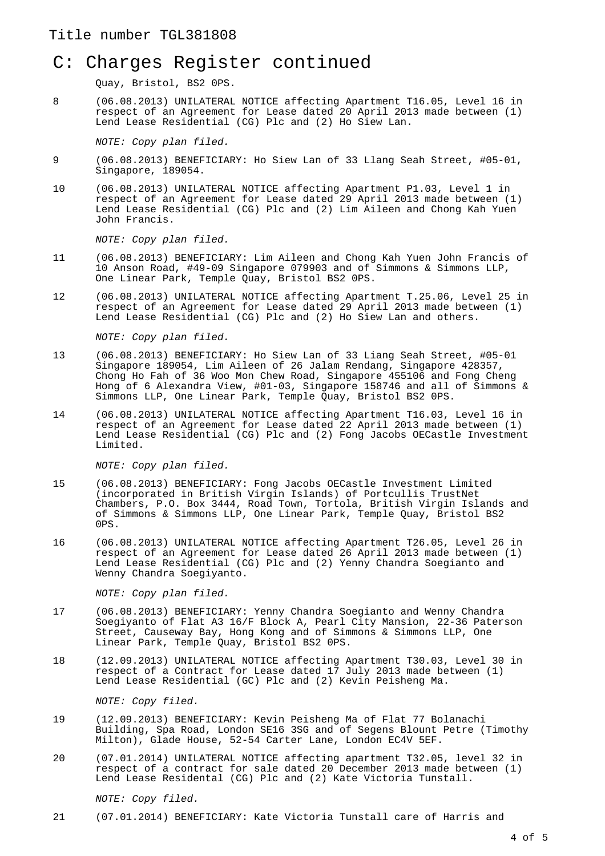## C: Charges Register continued

Quay, Bristol, BS2 0PS.

8 (06.08.2013) UNILATERAL NOTICE affecting Apartment T16.05, Level 16 in respect of an Agreement for Lease dated 20 April 2013 made between (1) Lend Lease Residential (CG) Plc and (2) Ho Siew Lan.

NOTE: Copy plan filed.

- 9 (06.08.2013) BENEFICIARY: Ho Siew Lan of 33 Llang Seah Street, #05-01, Singapore, 189054.
- 10 (06.08.2013) UNILATERAL NOTICE affecting Apartment P1.03, Level 1 in respect of an Agreement for Lease dated 29 April 2013 made between (1) Lend Lease Residential (CG) Plc and (2) Lim Aileen and Chong Kah Yuen John Francis.

NOTE: Copy plan filed.

- 11 (06.08.2013) BENEFICIARY: Lim Aileen and Chong Kah Yuen John Francis of 10 Anson Road, #49-09 Singapore 079903 and of Simmons & Simmons LLP, One Linear Park, Temple Quay, Bristol BS2 0PS.
- 12 (06.08.2013) UNILATERAL NOTICE affecting Apartment T.25.06, Level 25 in respect of an Agreement for Lease dated 29 April 2013 made between (1) Lend Lease Residential (CG) Plc and (2) Ho Siew Lan and others.

NOTE: Copy plan filed.

- 13 (06.08.2013) BENEFICIARY: Ho Siew Lan of 33 Liang Seah Street, #05-01 Singapore 189054, Lim Aileen of 26 Jalam Rendang, Singapore 428357, Chong Ho Fah of 36 Woo Mon Chew Road, Singapore 455106 and Fong Cheng Hong of 6 Alexandra View, #01-03, Singapore 158746 and all of Simmons & Simmons LLP, One Linear Park, Temple Quay, Bristol BS2 0PS.
- 14 (06.08.2013) UNILATERAL NOTICE affecting Apartment T16.03, Level 16 in respect of an Agreement for Lease dated 22 April 2013 made between (1) Lend Lease Residential (CG) Plc and (2) Fong Jacobs OECastle Investment Limited.

NOTE: Copy plan filed.

- 15 (06.08.2013) BENEFICIARY: Fong Jacobs OECastle Investment Limited (incorporated in British Virgin Islands) of Portcullis TrustNet Chambers, P.O. Box 3444, Road Town, Tortola, British Virgin Islands and of Simmons & Simmons LLP, One Linear Park, Temple Quay, Bristol BS2 0PS.
- 16 (06.08.2013) UNILATERAL NOTICE affecting Apartment T26.05, Level 26 in respect of an Agreement for Lease dated 26 April 2013 made between (1) Lend Lease Residential (CG) Plc and (2) Yenny Chandra Soegianto and Wenny Chandra Soegiyanto.

NOTE: Copy plan filed.

- 17 (06.08.2013) BENEFICIARY: Yenny Chandra Soegianto and Wenny Chandra Soegiyanto of Flat A3 16/F Block A, Pearl City Mansion, 22-36 Paterson Street, Causeway Bay, Hong Kong and of Simmons & Simmons LLP, One Linear Park, Temple Quay, Bristol BS2 0PS.
- 18 (12.09.2013) UNILATERAL NOTICE affecting Apartment T30.03, Level 30 in respect of a Contract for Lease dated 17 July 2013 made between (1) Lend Lease Residential (GC) Plc and (2) Kevin Peisheng Ma.

NOTE: Copy filed.

- 19 (12.09.2013) BENEFICIARY: Kevin Peisheng Ma of Flat 77 Bolanachi Building, Spa Road, London SE16 3SG and of Segens Blount Petre (Timothy Milton), Glade House, 52-54 Carter Lane, London EC4V 5EF.
- 20 (07.01.2014) UNILATERAL NOTICE affecting apartment T32.05, level 32 in respect of a contract for sale dated 20 December 2013 made between (1) Lend Lease Residental (CG) Plc and (2) Kate Victoria Tunstall.

#### NOTE: Copy filed.

21 (07.01.2014) BENEFICIARY: Kate Victoria Tunstall care of Harris and